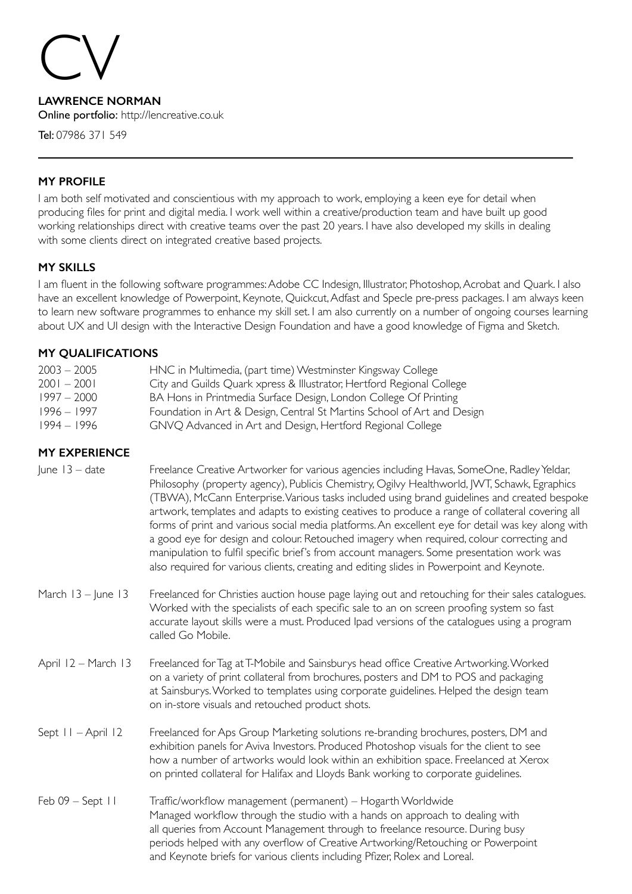# CV

**LAWRENCE NORMAN** Online portfolio: http://lencreative.co.uk

Tel: 07986 371 549

# **MY PROFILE**

I am both self motivated and conscientious with my approach to work, employing a keen eye for detail when producing files for print and digital media. I work well within a creative/production team and have built up good working relationships direct with creative teams over the past 20 years. I have also developed my skills in dealing with some clients direct on integrated creative based projects.

# **MY SKILLS**

I am fluent in the following software programmes: Adobe CC Indesign, Illustrator, Photoshop, Acrobat and Quark. I also have an excellent knowledge of Powerpoint, Keynote, Quickcut, Adfast and Specle pre-press packages. I am always keen to learn new software programmes to enhance my skill set. I am also currently on a number of ongoing courses learning about UX and UI design with the Interactive Design Foundation and have a good knowledge of Figma and Sketch.

## **MY QUALIFICATIONS**

| $2003 - 2005$<br>$2001 - 2001$ | HNC in Multimedia, (part time) Westminster Kingsway College                                                                               |
|--------------------------------|-------------------------------------------------------------------------------------------------------------------------------------------|
| $1997 - 2000$                  | City and Guilds Quark xpress & Illustrator, Hertford Regional College<br>BA Hons in Printmedia Surface Design, London College Of Printing |
| 1996 – 1997                    | Foundation in Art & Design, Central St Martins School of Art and Design                                                                   |
| $1994 - 1996$                  | GNVQ Advanced in Art and Design, Hertford Regional College                                                                                |

# **MY EXPERIENCE**

| June $13 - date$ | Freelance Creative Artworker for various agencies including Havas, SomeOne, Radley Yeldar,        |
|------------------|---------------------------------------------------------------------------------------------------|
|                  | Philosophy (property agency), Publicis Chemistry, Ogilvy Healthworld, JWT, Schawk, Egraphics      |
|                  | (TBWA), McCann Enterprise. Various tasks included using brand guidelines and created bespoke      |
|                  | artwork, templates and adapts to existing ceatives to produce a range of collateral covering all  |
|                  | forms of print and various social media platforms. An excellent eye for detail was key along with |
|                  | a good eye for design and colour. Retouched imagery when required, colour correcting and          |
|                  | manipulation to fulfil specific brief's from account managers. Some presentation work was         |
|                  | also required for various clients, creating and editing slides in Powerpoint and Keynote.         |
|                  |                                                                                                   |

- March 13 June 13 Freelanced for Christies auction house page laying out and retouching for their sales catalogues. Worked with the specialists of each specific sale to an on screen proofing system so fast accurate layout skills were a must. Produced Ipad versions of the catalogues using a program called Go Mobile.
- April 12 March 13 Freelanced for Tag at T-Mobile and Sainsburys head office Creative Artworking. Worked on a variety of print collateral from brochures, posters and DM to POS and packaging at Sainsburys. Worked to templates using corporate guidelines. Helped the design team on in-store visuals and retouched product shots.
- Sept 11 April 12 Freelanced for Aps Group Marketing solutions re-branding brochures, posters, DM and exhibition panels for Aviva Investors. Produced Photoshop visuals for the client to see how a number of artworks would look within an exhibition space. Freelanced at Xerox on printed collateral for Halifax and Lloyds Bank working to corporate guidelines.
- Feb 09 Sept 11 Traffic/workflow management (permanent) Hogarth Worldwide Managed workflow through the studio with a hands on approach to dealing with all queries from Account Management through to freelance resource. During busy periods helped with any overflow of Creative Artworking/Retouching or Powerpoint and Keynote briefs for various clients including Pfizer, Rolex and Loreal.